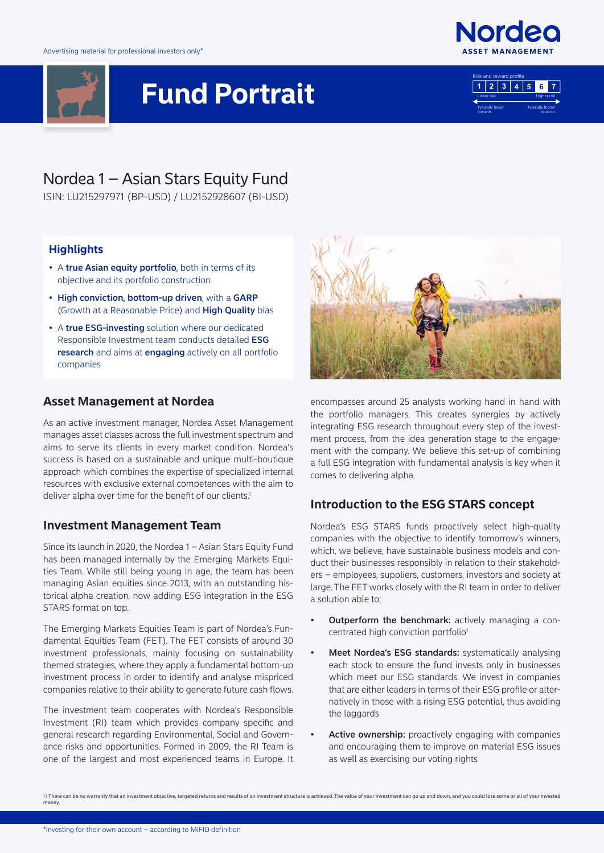

# **Fund Portrait**





# Nordea 1 – Asian Stars Equity Fund

ISIN: LU215297971 (BP-USD) / LU2152928607 (BI-USD)

#### **Highlights**

- A true Asian equity portfolio, both in terms of its objective and its portfolio construction
- High conviction, bottom-up driven, with a GARP (Growth at a Reasonable Price) and High Quality bias
- A true ESG-investing solution where our dedicated Responsible Investment team conducts detailed ESG research and aims at engaging actively on all portfolio companies

#### **Asset Management at Nordea**

As an active investment manager, Nordea Asset Management manages asset classes across the full investment spectrum and aims to serve its clients in every market condition. Nordea's success is based on a sustainable and unique multi-boutique approach which combines the expertise of specialized internal resources with exclusive external competences with the aim to deliver alpha over time for the benefit of our clients.<sup>1</sup>

#### **Investment Management Team**

Since its launch in 2020, the Nordea 1 – Asian Stars Equity Fund has been managed internally by the Emerging Markets Equities Team. While still being young in age, the team has been managing Asian equities since 2013, with an outstanding historical alpha creation, now adding ESG integration in the ESG STARS format on top.

The Emerging Markets Equities Team is part of Nordea's Fundamental Equities Team (FET). The FET consists of around 30 investment professionals, mainly focusing on sustainability themed strategies, where they apply a fundamental bottom-up investment process in order to identify and analyse mispriced companies relative to their ability to generate future cash flows.

The investment team cooperates with Nordea's Responsible Investment (RI) team which provides company specific and general research regarding Environmental, Social and Governance risks and opportunities. Formed in 2009, the RI Team is one of the largest and most experienced teams in Europe. It



encompasses around 25 analysts working hand in hand with the portfolio managers. This creates synergies by actively integrating ESG research throughout every step of the investment process, from the idea generation stage to the engagement with the company. We believe this set-up of combining a full ESG integration with fundamental analysis is key when it comes to delivering alpha.

## **Introduction to the ESG STARS concept**

Nordea's ESG STARS funds proactively select high-quality companies with the objective to identify tomorrow's winners, which, we believe, have sustainable business models and conduct their businesses responsibly in relation to their stakeholders – employees, suppliers, customers, investors and society at large. The FET works closely with the RI team in order to deliver a solution able to:

- Outperform the benchmark: actively managing a concentrated high conviction portfolio<sup>1</sup>
- Meet Nordea's ESG standards: systematically analysing each stock to ensure the fund invests only in businesses which meet our ESG standards. We invest in companies that are either leaders in terms of their ESG profile or alternatively in those with a rising ESG potential, thus avoiding the laggards
- Active ownership: proactively engaging with companies and encouraging them to improve on material ESG issues as well as exercising our voting rights

<sup>1)</sup> There can be no warranty that an investment objective, targeted returns and results of an investment structure is achieved. The value of your investment can go up and down, and you could lose some or all of your investe money.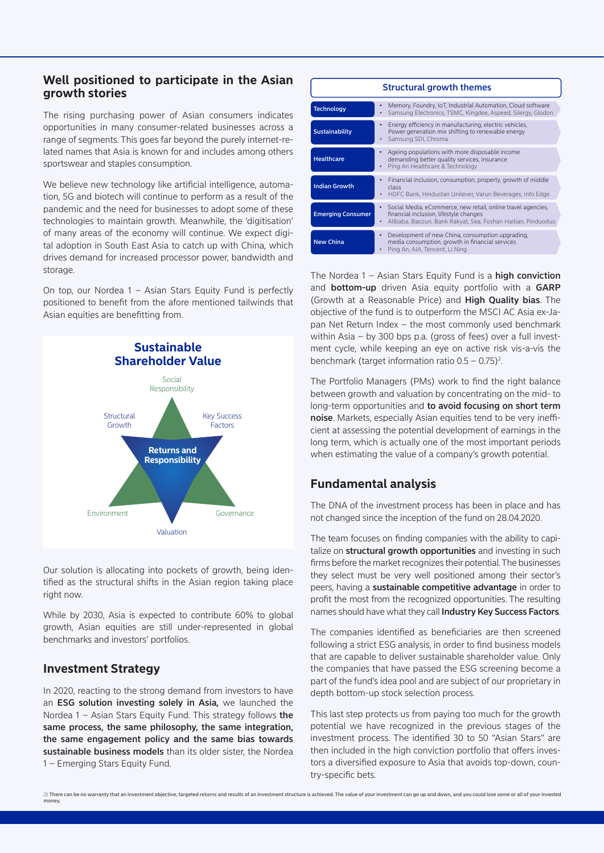#### **Well positioned to participate in the Asian growth stories**

The rising purchasing power of Asian consumers indicates opportunities in many consumer-related businesses across a range of segments. This goes far beyond the purely internet-related names that Asia is known for and includes among others sportswear and staples consumption.

We believe new technology like artificial intelligence, automation, 5G and biotech will continue to perform as a result of the pandemic and the need for businesses to adopt some of these technologies to maintain growth. Meanwhile, the 'digitisation' of many areas of the economy will continue. We expect digital adoption in South East Asia to catch up with China, which drives demand for increased processor power, bandwidth and storage.

On top, our Nordea 1 – Asian Stars Equity Fund is perfectly positioned to benefit from the afore mentioned tailwinds that Asian equities are benefitting from.



Our solution is allocating into pockets of growth, being identified as the structural shifts in the Asian region taking place right now.

While by 2030, Asia is expected to contribute 60% to global growth, Asian equities are still under-represented in global benchmarks and investors' portfolios.

#### **Investment Strategy**

In 2020, reacting to the strong demand from investors to have an ESG solution investing solely in Asia, we launched the Nordea  $1 -$  Asian Stars Equity Fund. This strategy follows the same process, the same philosophy, the same integration, the same engagement policy and the same bias towards sustainable business models than its older sister, the Nordea 1 – Emerging Stars Equity Fund.

| <b>Structural growth themes</b> |                                                                                                                                                                        |  |
|---------------------------------|------------------------------------------------------------------------------------------------------------------------------------------------------------------------|--|
| <b>Technology</b>               | Memory, Foundry, IoT, Industrial Automation, Cloud software<br>$\bullet$<br>Samsung Electronics, TSMC, Kingdee, Aspeed, Silergy, Glodon<br>$\bullet$                   |  |
| <b>Sustainability</b>           | Energy efficiency in manufacturing, electric vehicles,<br>٠<br>Power generation mix shifting to renewable energy<br>Samsung SDI, Chroma<br>$\bullet$                   |  |
| <b>Healthcare</b>               | Ageing populations with more disposable income<br>٠<br>demanding better quality services, insurance<br>Ping An Healthcare & Technology<br>$\bullet$                    |  |
| <b>Indian Growth</b>            | Financial inclusion, consumption, property, growth of middle<br>$\bullet$<br>class<br>HDFC Bank, Hindustan Unilever, Varun Beverages, Info Edge<br>$\bullet$           |  |
| <b>Emerging Consumer</b>        | Social Media, eCommerce, new retail, online travel agencies,<br>financial inclusion, lifestyle changes<br>Alibaba, Baozun, Bank Rakyat, Sea, Foshan Haitian, Pinduoduo |  |
| <b>New China</b>                | Development of new China, consumption upgrading,<br>٠<br>media consumption, growth in financial services<br>Ping An, AIA, Tencent, Li Ning<br>$\bullet$                |  |

The Nordea  $1 -$  Asian Stars Equity Fund is a high conviction and **bottom-up** driven Asia equity portfolio with a GARP (Growth at a Reasonable Price) and High Quality bias. The objective of the fund is to outperform the MSCI AC Asia ex-Japan Net Return Index – the most commonly used benchmark within Asia – by 300 bps p.a. (gross of fees) over a full investment cycle, while keeping an eye on active risk vis-a-vis the benchmark (target information ratio  $0.5 - 0.75$ )<sup>2</sup>.

The Portfolio Managers (PMs) work to find the right balance between growth and valuation by concentrating on the mid- to long-term opportunities and to avoid focusing on short term noise. Markets, especially Asian equities tend to be very inefficient at assessing the potential development of earnings in the long term, which is actually one of the most important periods when estimating the value of a company's growth potential.

## **Fundamental analysis**

The DNA of the investment process has been in place and has not changed since the inception of the fund on 28.04.2020.

The team focuses on finding companies with the ability to capitalize on structural growth opportunities and investing in such firms before the market recognizes their potential. The businesses they select must be very well positioned among their sector's peers, having a sustainable competitive advantage in order to profit the most from the recognized opportunities. The resulting names should have what they call Industry Key Success Factors.

The companies identified as beneficiaries are then screened following a strict ESG analysis, in order to find business models that are capable to deliver sustainable shareholder value. Only the companies that have passed the ESG screening become a part of the fund's idea pool and are subject of our proprietary in depth bottom-up stock selection process.

This last step protects us from paying too much for the growth potential we have recognized in the previous stages of the investment process. The identified 30 to 50 "Asian Stars" are then included in the high conviction portfolio that offers investors a diversified exposure to Asia that avoids top-down, country-specific bets.

<sup>2)</sup> There can be no warranty that an investment objective, targeted returns and results of an investment structure is achieved. The value of your investment can go up and down, and you could lose some or all of your investe money.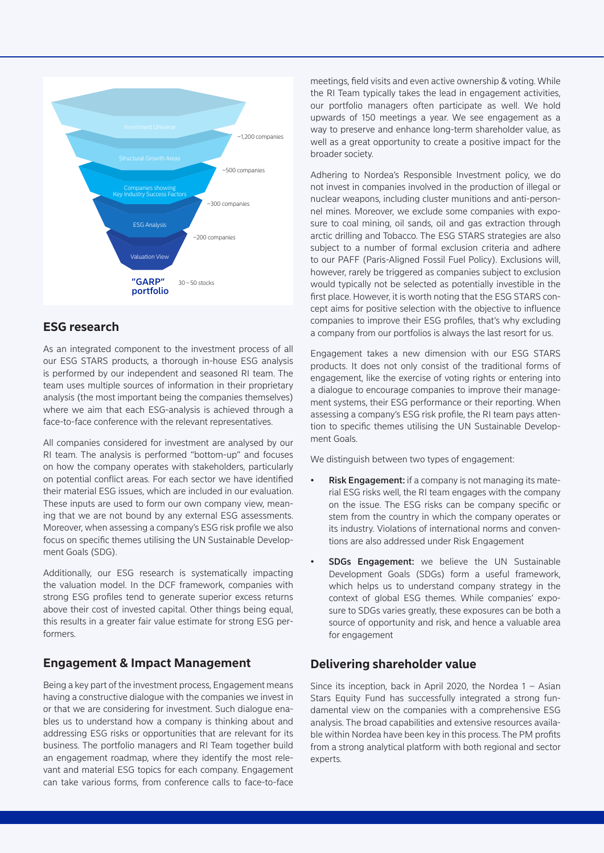

## **ESG research**

As an integrated component to the investment process of all our ESG STARS products, a thorough in-house ESG analysis is performed by our independent and seasoned RI team. The team uses multiple sources of information in their proprietary analysis (the most important being the companies themselves) where we aim that each ESG-analysis is achieved through a face-to-face conference with the relevant representatives.

All companies considered for investment are analysed by our RI team. The analysis is performed "bottom-up" and focuses on how the company operates with stakeholders, particularly on potential conflict areas. For each sector we have identified their material ESG issues, which are included in our evaluation. These inputs are used to form our own company view, meaning that we are not bound by any external ESG assessments. Moreover, when assessing a company's ESG risk profile we also focus on specific themes utilising the UN Sustainable Development Goals (SDG).

Additionally, our ESG research is systematically impacting the valuation model. In the DCF framework, companies with strong ESG profiles tend to generate superior excess returns above their cost of invested capital. Other things being equal, this results in a greater fair value estimate for strong ESG performers.

#### **Engagement & Impact Management**

Being a key part of the investment process, Engagement means having a constructive dialogue with the companies we invest in or that we are considering for investment. Such dialogue enables us to understand how a company is thinking about and addressing ESG risks or opportunities that are relevant for its business. The portfolio managers and RI Team together build an engagement roadmap, where they identify the most relevant and material ESG topics for each company. Engagement can take various forms, from conference calls to face-to-face

meetings, field visits and even active ownership & voting. While the RI Team typically takes the lead in engagement activities, our portfolio managers often participate as well. We hold upwards of 150 meetings a year. We see engagement as a way to preserve and enhance long-term shareholder value, as well as a great opportunity to create a positive impact for the broader society.

Adhering to Nordea's Responsible Investment policy, we do not invest in companies involved in the production of illegal or nuclear weapons, including cluster munitions and anti-personnel mines. Moreover, we exclude some companies with exposure to coal mining, oil sands, oil and gas extraction through arctic drilling and Tobacco. The ESG STARS strategies are also subject to a number of formal exclusion criteria and adhere to our PAFF (Paris-Aligned Fossil Fuel Policy). Exclusions will, however, rarely be triggered as companies subject to exclusion would typically not be selected as potentially investible in the first place. However, it is worth noting that the ESG STARS concept aims for positive selection with the objective to influence companies to improve their ESG profiles, that's why excluding a company from our portfolios is always the last resort for us.

Engagement takes a new dimension with our ESG STARS products. It does not only consist of the traditional forms of engagement, like the exercise of voting rights or entering into a dialogue to encourage companies to improve their management systems, their ESG performance or their reporting. When assessing a company's ESG risk profile, the RI team pays attention to specific themes utilising the UN Sustainable Development Goals.

We distinguish between two types of engagement:

- **Risk Engagement:** if a company is not managing its material ESG risks well, the RI team engages with the company on the issue. The ESG risks can be company specific or stem from the country in which the company operates or its industry. Violations of international norms and conventions are also addressed under Risk Engagement
- **SDGs Engagement:** we believe the UN Sustainable Development Goals (SDGs) form a useful framework, which helps us to understand company strategy in the context of global ESG themes. While companies' exposure to SDGs varies greatly, these exposures can be both a source of opportunity and risk, and hence a valuable area for engagement

## **Delivering shareholder value**

Since its inception, back in April 2020, the Nordea 1 – Asian Stars Equity Fund has successfully integrated a strong fundamental view on the companies with a comprehensive ESG analysis. The broad capabilities and extensive resources available within Nordea have been key in this process. The PM profits from a strong analytical platform with both regional and sector experts.